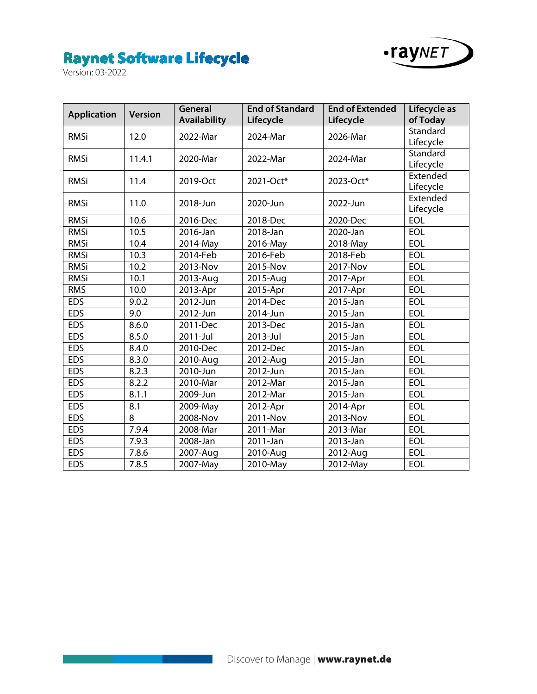

| <b>Application</b> | <b>Version</b> | General<br><b>Availability</b> | <b>End of Standard</b><br>Lifecycle | <b>End of Extended</b><br>Lifecycle | Lifecycle as<br>of Today |
|--------------------|----------------|--------------------------------|-------------------------------------|-------------------------------------|--------------------------|
| <b>RMSi</b>        | 12.0           | 2022-Mar                       | 2024-Mar                            | 2026-Mar                            | Standard<br>Lifecycle    |
| <b>RMSi</b>        | 11.4.1         | 2020-Mar                       | 2022-Mar                            | 2024-Mar                            | Standard<br>Lifecycle    |
| <b>RMSi</b>        | 11.4           | 2019-Oct                       | 2021-Oct*                           | 2023-Oct*                           | Extended<br>Lifecycle    |
| <b>RMSi</b>        | 11.0           | 2018-Jun                       | 2020-Jun                            | 2022-Jun                            | Extended<br>Lifecycle    |
| <b>RMSi</b>        | 10.6           | 2016-Dec                       | 2018-Dec                            | 2020-Dec                            | <b>EOL</b>               |
| <b>RMSi</b>        | 10.5           | 2016-Jan                       | 2018-Jan                            | 2020-Jan                            | <b>EOL</b>               |
| <b>RMSi</b>        | 10.4           | 2014-May                       | 2016-May                            | 2018-May                            | <b>EOL</b>               |
| <b>RMSi</b>        | 10.3           | 2014-Feb                       | 2016-Feb                            | 2018-Feb                            | <b>EOL</b>               |
| <b>RMSi</b>        | 10.2           | 2013-Nov                       | 2015-Nov                            | 2017-Nov                            | <b>EOL</b>               |
| <b>RMSi</b>        | 10.1           | 2013-Aug                       | 2015-Aug                            | 2017-Apr                            | <b>EOL</b>               |
| <b>RMS</b>         | 10.0           | 2013-Apr                       | 2015-Apr                            | 2017-Apr                            | <b>EOL</b>               |
| <b>EDS</b>         | 9.0.2          | 2012-Jun                       | 2014-Dec                            | 2015-Jan                            | <b>EOL</b>               |
| <b>EDS</b>         | 9.0            | 2012-Jun                       | 2014-Jun                            | 2015-Jan                            | <b>EOL</b>               |
| <b>EDS</b>         | 8.6.0          | 2011-Dec                       | 2013-Dec                            | 2015-Jan                            | <b>EOL</b>               |
| <b>EDS</b>         | 8.5.0          | 2011-Jul                       | 2013-Jul                            | 2015-Jan                            | EOL                      |
| <b>EDS</b>         | 8.4.0          | 2010-Dec                       | 2012-Dec                            | 2015-Jan                            | <b>EOL</b>               |
| <b>EDS</b>         | 8.3.0          | 2010-Aug                       | 2012-Aug                            | 2015-Jan                            | <b>EOL</b>               |
| <b>EDS</b>         | 8.2.3          | 2010-Jun                       | 2012-Jun                            | 2015-Jan                            | <b>EOL</b>               |
| <b>EDS</b>         | 8.2.2          | 2010-Mar                       | 2012-Mar                            | 2015-Jan                            | <b>EOL</b>               |
| <b>EDS</b>         | 8.1.1          | 2009-Jun                       | 2012-Mar                            | 2015-Jan                            | <b>EOL</b>               |
| <b>EDS</b>         | 8.1            | 2009-May                       | 2012-Apr                            | 2014-Apr                            | EOL                      |
| <b>EDS</b>         | 8              | 2008-Nov                       | 2011-Nov                            | 2013-Nov                            | <b>EOL</b>               |
| <b>EDS</b>         | 7.9.4          | 2008-Mar                       | 2011-Mar                            | 2013-Mar                            | <b>EOL</b>               |
| <b>EDS</b>         | 7.9.3          | 2008-Jan                       | 2011-Jan                            | 2013-Jan                            | EOL                      |
| <b>EDS</b>         | 7.8.6          | 2007-Aug                       | 2010-Aug                            | 2012-Aug                            | <b>EOL</b>               |
| <b>EDS</b>         | 7.8.5          | 2007-May                       | 2010-May                            | 2012-May                            | <b>EOL</b>               |

 $\sim$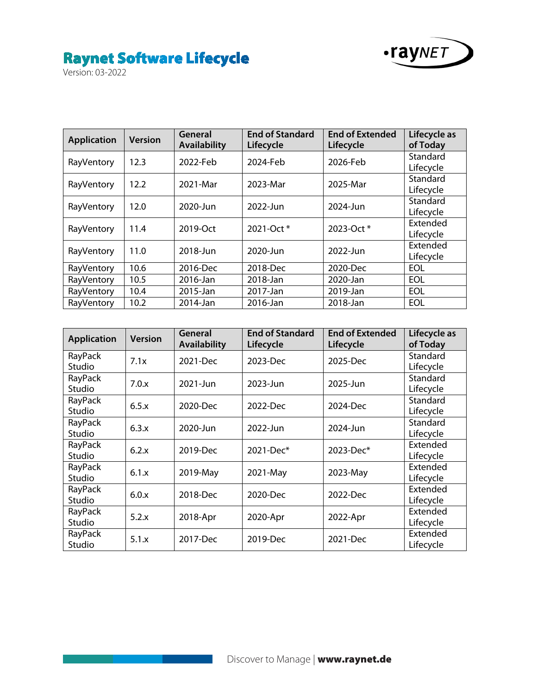

| <b>Application</b> | <b>Version</b> | General<br><b>Availability</b> | <b>End of Standard</b><br>Lifecycle | <b>End of Extended</b><br>Lifecycle | Lifecycle as<br>of Today |
|--------------------|----------------|--------------------------------|-------------------------------------|-------------------------------------|--------------------------|
| RayVentory         | 12.3           | 2022-Feb                       | 2024-Feb                            | 2026-Feb                            | Standard<br>Lifecycle    |
| RayVentory         | 12.2           | 2021-Mar                       | 2023-Mar                            | 2025-Mar                            | Standard<br>Lifecycle    |
| RayVentory         | 12.0           | 2020-Jun                       | 2022-Jun                            | 2024-Jun                            | Standard<br>Lifecycle    |
| RayVentory         | 11.4           | 2019-Oct                       | 2021-Oct *                          | 2023-Oct *                          | Extended<br>Lifecycle    |
| RayVentory         | 11.0           | 2018-Jun                       | 2020-Jun                            | 2022-Jun                            | Extended<br>Lifecycle    |
| RayVentory         | 10.6           | 2016-Dec                       | 2018-Dec                            | 2020-Dec                            | EOL                      |
| RayVentory         | 10.5           | 2016-Jan                       | 2018-Jan                            | 2020-Jan                            | EOL                      |
| RayVentory         | 10.4           | 2015-Jan                       | 2017-Jan                            | 2019-Jan                            | EOL                      |
| RayVentory         | 10.2           | 2014-Jan                       | 2016-Jan                            | 2018-Jan                            | EOL                      |

| <b>Application</b> | <b>Version</b> | General<br><b>Availability</b> | <b>End of Standard</b><br>Lifecycle | <b>End of Extended</b><br>Lifecycle | Lifecycle as<br>of Today |
|--------------------|----------------|--------------------------------|-------------------------------------|-------------------------------------|--------------------------|
| RayPack<br>Studio  | 7.1x           | 2021-Dec                       | 2023-Dec                            | 2025-Dec                            | Standard<br>Lifecycle    |
| RayPack<br>Studio  | 7.0.x          | 2021-Jun                       | 2023-Jun                            | 2025-Jun                            | Standard<br>Lifecycle    |
| RayPack<br>Studio  | 6.5.x          | 2020-Dec                       | 2022-Dec                            | 2024-Dec                            | Standard<br>Lifecycle    |
| RayPack<br>Studio  | 6.3.x          | 2020-Jun                       | 2022-Jun                            | 2024-Jun                            | Standard<br>Lifecycle    |
| RayPack<br>Studio  | 6.2.x          | 2019-Dec                       | 2021-Dec*                           | 2023-Dec*                           | Extended<br>Lifecycle    |
| RayPack<br>Studio  | 6.1.x          | 2019-May                       | 2021-May                            | 2023-May                            | Extended<br>Lifecycle    |
| RayPack<br>Studio  | 6.0.x          | 2018-Dec                       | $2020 - Dec$                        | 2022-Dec                            | Extended<br>Lifecycle    |
| RayPack<br>Studio  | 5.2.x          | 2018-Apr                       | 2020-Apr                            | 2022-Apr                            | Extended<br>Lifecycle    |
| RayPack<br>Studio  | 5.1.x          | 2017-Dec                       | 2019-Dec                            | 2021-Dec                            | Extended<br>Lifecycle    |

 $\sim$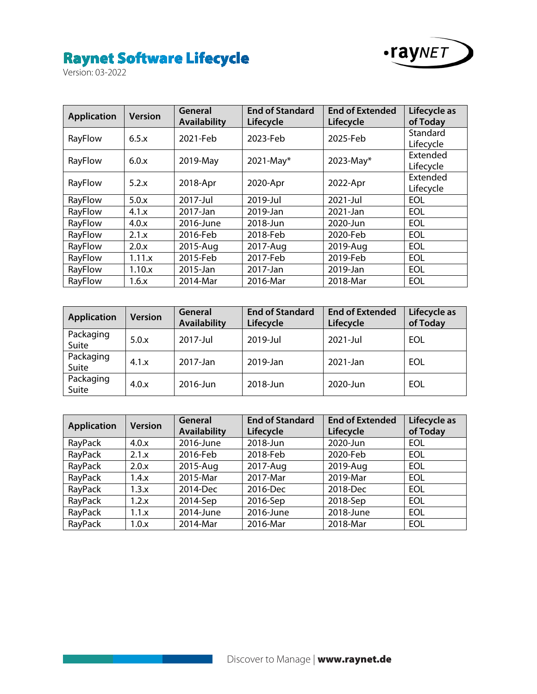

| <b>Application</b> | <b>Version</b> | General<br><b>Availability</b> | <b>End of Standard</b><br>Lifecycle | <b>End of Extended</b><br>Lifecycle | Lifecycle as<br>of Today |
|--------------------|----------------|--------------------------------|-------------------------------------|-------------------------------------|--------------------------|
| RayFlow            | 6.5.x          | 2021-Feb                       | 2023-Feb                            | 2025-Feb                            | Standard<br>Lifecycle    |
| RayFlow            | 6.0.x          | 2019-May                       | $2021$ -May*                        | 2023-May*                           | Extended<br>Lifecycle    |
| RayFlow            | 5.2.x          | 2018-Apr                       | 2020-Apr                            | 2022-Apr                            | Extended<br>Lifecycle    |
| RayFlow            | 5.0.x          | 2017-Jul                       | 2019-Jul                            | 2021-Jul                            | <b>EOL</b>               |
| RayFlow            | 4.1.x          | 2017-Jan                       | 2019-Jan                            | 2021-Jan                            | <b>EOL</b>               |
| RayFlow            | 4.0.x          | 2016-June                      | 2018-Jun                            | 2020-Jun                            | <b>EOL</b>               |
| RayFlow            | 2.1.x          | 2016-Feb                       | 2018-Feb                            | 2020-Feb                            | <b>EOL</b>               |
| RayFlow            | 2.0.x          | 2015-Aug                       | 2017-Aug                            | 2019-Aug                            | <b>EOL</b>               |
| RayFlow            | 1.11.x         | 2015-Feb                       | 2017-Feb                            | 2019-Feb                            | <b>EOL</b>               |
| RayFlow            | 1.10.x         | 2015-Jan                       | 2017-Jan                            | 2019-Jan                            | <b>EOL</b>               |
| RayFlow            | 1.6.x          | 2014-Mar                       | 2016-Mar                            | 2018-Mar                            | <b>EOL</b>               |

| <b>Application</b> | <b>Version</b> | General<br><b>Availability</b> | <b>End of Standard</b><br>Lifecycle | <b>End of Extended</b><br>Lifecycle | Lifecycle as<br>of Today |
|--------------------|----------------|--------------------------------|-------------------------------------|-------------------------------------|--------------------------|
| Packaging<br>Suite | 5.0.x          | 2017-Jul                       | 2019-Jul                            | 2021-Jul                            | EOL                      |
| Packaging<br>Suite | 4.1.x          | 2017-Jan                       | 2019-Jan                            | 2021-Jan                            | EOL                      |
| Packaging<br>Suite | 4.0.x          | 2016-Jun                       | 2018-Jun                            | 2020-Jun                            | EOL                      |

| <b>Application</b> | <b>Version</b> | General<br><b>Availability</b> | <b>End of Standard</b><br>Lifecycle | <b>End of Extended</b><br>Lifecycle | Lifecycle as<br>of Today |
|--------------------|----------------|--------------------------------|-------------------------------------|-------------------------------------|--------------------------|
| RayPack            | 4.0.x          | 2016-June                      | 2018-Jun                            | 2020-Jun                            | <b>EOL</b>               |
| RayPack            | 2.1.x          | 2016-Feb                       | 2018-Feb                            | 2020-Feb                            | <b>EOL</b>               |
| RayPack            | 2.0.x          | 2015-Aug                       | 2017-Aug                            | 2019-Aug                            | <b>EOL</b>               |
| RayPack            | 1.4.x          | 2015-Mar                       | 2017-Mar                            | 2019-Mar                            | <b>EOL</b>               |
| RayPack            | 1.3.x          | 2014-Dec                       | 2016-Dec                            | 2018-Dec                            | <b>EOL</b>               |
| RayPack            | 1.2.x          | 2014-Sep                       | 2016-Sep                            | 2018-Sep                            | <b>EOL</b>               |
| RayPack            | 1.1.x          | 2014-June                      | 2016-June                           | 2018-June                           | EOL                      |
| RayPack            | 1.0.x          | 2014-Mar                       | 2016-Mar                            | 2018-Mar                            | <b>EOL</b>               |

a a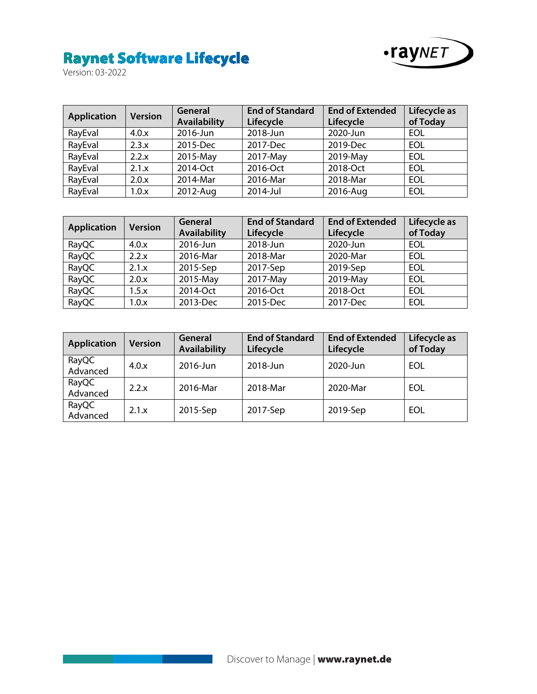

| <b>Application</b> | <b>Version</b> | General<br><b>Availability</b> | <b>End of Standard</b><br>Lifecycle | <b>End of Extended</b><br>Lifecycle | Lifecycle as<br>of Today |
|--------------------|----------------|--------------------------------|-------------------------------------|-------------------------------------|--------------------------|
| RayEval            | 4.0.x          | 2016-Jun                       | 2018-Jun                            | 2020-Jun                            | EOL                      |
| RayEval            | 2.3.x          | 2015-Dec                       | 2017-Dec                            | 2019-Dec                            | EOL                      |
| RayEval            | 2.2.x          | 2015-May                       | 2017-May                            | 2019-May                            | EOL                      |
| RayEval            | 2.1.x          | 2014-Oct                       | 2016-Oct                            | 2018-Oct                            | EOL                      |
| RayEval            | 2.0.x          | 2014-Mar                       | 2016-Mar                            | 2018-Mar                            | EOL                      |
| RayEval            | 1.0.x          | 2012-Aug                       | 2014-Jul                            | 2016-Aug                            | EOL                      |

| <b>Application</b> | <b>Version</b> | General             | <b>End of Standard</b> | <b>End of Extended</b> | Lifecycle as |
|--------------------|----------------|---------------------|------------------------|------------------------|--------------|
|                    |                | <b>Availability</b> | Lifecycle              | Lifecycle              | of Today     |
| RayQC              | 4.0.x          | 2016-Jun            | 2018-Jun               | 2020-Jun               | EOL          |
| RayQC              | 2.2.x          | 2016-Mar            | 2018-Mar               | 2020-Mar               | EOL          |
| RayQC              | 2.1.x          | 2015-Sep            | 2017-Sep               | 2019-Sep               | EOL          |
| RayQC              | 2.0.x          | 2015-May            | 2017-May               | 2019-May               | EOL          |
| RayQC              | 1.5.x          | 2014-Oct            | 2016-Oct               | 2018-Oct               | EOL          |
| RayQC              | 1.0.x          | 2013-Dec            | 2015-Dec               | 2017-Dec               | <b>EOL</b>   |

| <b>Application</b> | <b>Version</b> | General<br><b>Availability</b> | <b>End of Standard</b><br>Lifecycle | <b>End of Extended</b><br>Lifecycle | Lifecycle as<br>of Today |
|--------------------|----------------|--------------------------------|-------------------------------------|-------------------------------------|--------------------------|
| RayQC<br>Advanced  | 4.0.x          | 2016-Jun                       | 2018-Jun                            | 2020-Jun                            | EOL                      |
| RayQC<br>Advanced  | 2.2.x          | 2016-Mar                       | 2018-Mar                            | 2020-Mar                            | EOL                      |
| RayQC<br>Advanced  | 2.1.x          | 2015-Sep                       | 2017-Sep                            | 2019-Sep                            | EOL                      |

 $\sim$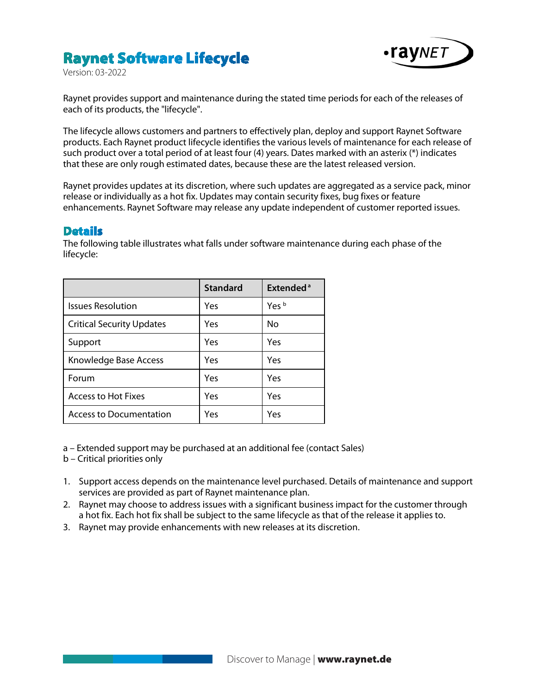## **Raynet Software Lifecycle**



Version: 03-2022

Raynet provides support and maintenance during the stated time periods for each of the releases of each of its products, the "lifecycle".

The lifecycle allows customers and partners to effectively plan, deploy and support Raynet Software products. Each Raynet product lifecycle identifies the various levels of maintenance for each release of such product over a total period of at least four (4) years. Dates marked with an asterix (\*) indicates that these are only rough estimated dates, because these are the latest released version.

Raynet provides updates at its discretion, where such updates are aggregated as a service pack, minor release or individually as a hot fix. Updates may contain security fixes, bug fixes or feature enhancements. Raynet Software may release any update independent of customer reported issues.

#### **Details**

The following table illustrates what falls under software maintenance during each phase of the lifecycle:

|                                  | <b>Standard</b> | <b>Extended</b> <sup>a</sup> |
|----------------------------------|-----------------|------------------------------|
| <b>Issues Resolution</b>         | Yes             | Yes <sup>b</sup>             |
| <b>Critical Security Updates</b> | Yes             | No                           |
| Support                          | Yes             | Yes                          |
| Knowledge Base Access            | Yes             | Yes                          |
| Forum                            | Yes             | Yes                          |
| Access to Hot Fixes              | Yes             | Yes                          |
| <b>Access to Documentation</b>   | Yes             | Yes                          |

a – Extended support may be purchased at an additional fee (contact Sales)

b – Critical priorities only

- 1. Support access depends on the maintenance level purchased. Details of maintenance and support services are provided as part of Raynet maintenance plan.
- 2. Raynet may choose to address issues with a significant business impact for the customer through a hot fix. Each hot fix shall be subject to the same lifecycle as that of the release it applies to.
- 3. Raynet may provide enhancements with new releases at its discretion.